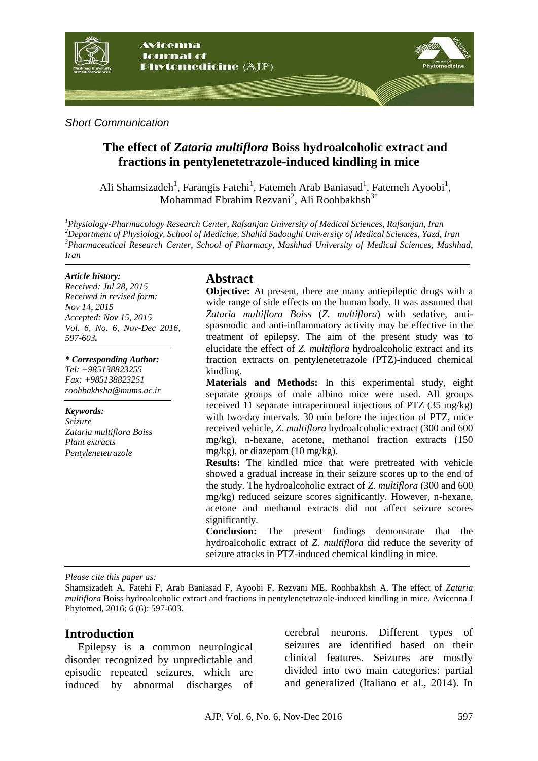

*Short Communication*

# **The effect of** *Zataria multiflora* **Boiss hydroalcoholic extract and fractions in pentylenetetrazole-induced kindling in mice**

Ali Shamsizadeh<sup>1</sup>, Farangis Fatehi<sup>1</sup>, Fatemeh Arab Baniasad<sup>1</sup>, Fatemeh Ayoobi<sup>1</sup>, Mohammad Ebrahim Rezvani<sup>2</sup>, Ali Roohbakhsh<sup>3\*</sup>

*Physiology-Pharmacology Research Center, Rafsanjan University of Medical Sciences, Rafsanjan, Iran Department of Physiology, School of Medicine, Shahid Sadoughi University of Medical Sciences, Yazd, Iran Pharmaceutical Research Center, School of Pharmacy, Mashhad University of Medical Sciences, Mashhad, Iran*

#### *Article history:*

*Received: Jul 28, 2015 Received in revised form: Nov 14, 2015 Accepted: Nov 15, 2015 Vol. 6, No. 6, Nov-Dec 2016, 597-603.*

*\* Corresponding Author: Tel: +985138823255 Fax: +985138823251 roohbakhsha@mums.ac.ir*

*Keywords: Seizure Zataria multiflora Boiss Plant extracts Pentylenetetrazole*

#### **Abstract**

**Objective:** At present, there are many antiepileptic drugs with a wide range of side effects on the human body. It was assumed that *Zataria multiflora Boiss* (*Z. multiflora*) with sedative, antispasmodic and anti-inflammatory activity may be effective in the treatment of epilepsy. The aim of the present study was to elucidate the effect of *Z. multiflora* hydroalcoholic extract and its fraction extracts on pentylenetetrazole (PTZ)-induced chemical kindling.

**Materials and Methods:** In this experimental study, eight separate groups of male albino mice were used. All groups received 11 separate intraperitoneal injections of PTZ (35 mg/kg) with two-day intervals. 30 min before the injection of PTZ, mice received vehicle, *Z. multiflora* hydroalcoholic extract (300 and 600 mg/kg), n-hexane, acetone, methanol fraction extracts (150 mg/kg), or diazepam (10 mg/kg).

**Results:** The kindled mice that were pretreated with vehicle showed a gradual increase in their seizure scores up to the end of the study. The hydroalcoholic extract of *Z. multiflora* (300 and 600 mg/kg) reduced seizure scores significantly. However, n-hexane, acetone and methanol extracts did not affect seizure scores significantly.

**Conclusion:** The present findings demonstrate that the hydroalcoholic extract of *Z. multiflora* did reduce the severity of seizure attacks in PTZ-induced chemical kindling in mice.

*Please cite this paper as:* 

Shamsizadeh A, Fatehi F, Arab Baniasad F, Ayoobi F, Rezvani ME, Roohbakhsh A. The effect of *Zataria multiflora* Boiss hydroalcoholic extract and fractions in pentylenetetrazole-induced kindling in mice. Avicenna J Phytomed, 2016; 6 (6): 597-603.

#### **Introduction**

Epilepsy is a common neurological disorder recognized by unpredictable and episodic repeated seizures, which are induced by abnormal discharges of cerebral neurons. Different types of seizures are identified based on their clinical features. Seizures are mostly divided into two main categories: partial and generalized (Italiano et al., 2014). In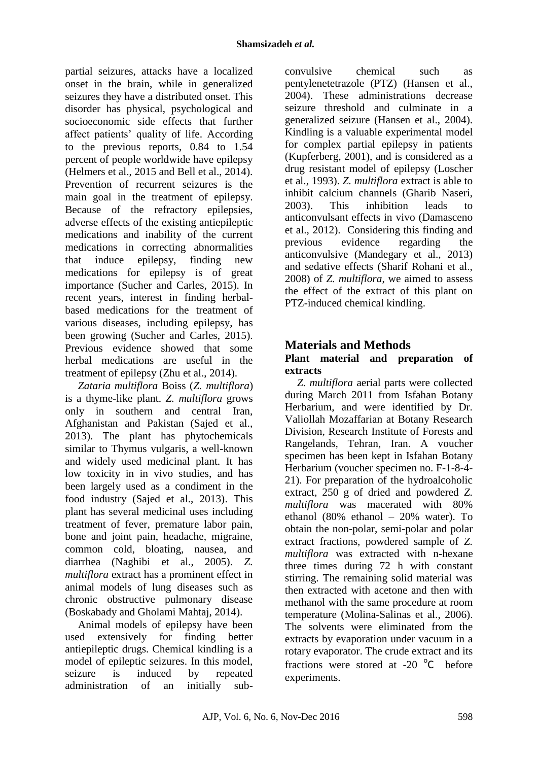partial seizures, attacks have a localized onset in the brain, while in generalized seizures they have a distributed onset. This disorder has physical, psychological and socioeconomic side effects that further affect patients' quality of life. According to the previous reports, 0.84 to 1.54 percent of people worldwide have epilepsy (Helmers et al., 2015 and Bell et al., 2014). Prevention of recurrent seizures is the main goal in the treatment of epilepsy. Because of the refractory epilepsies, adverse effects of the existing antiepileptic medications and inability of the current medications in correcting abnormalities that induce epilepsy, finding new medications for epilepsy is of great importance (Sucher and Carles, 2015). In recent years, interest in finding herbalbased medications for the treatment of various diseases, including epilepsy, has been growing (Sucher and Carles, 2015). Previous evidence showed that some herbal medications are useful in the treatment of epilepsy (Zhu et al., 2014).

*Zataria multiflora* Boiss (*Z. multiflora*) is a thyme-like plant. *Z. multiflora* grows only in southern and central Iran, Afghanistan and Pakistan (Sajed et al., 2013). The plant has phytochemicals similar to Thymus vulgaris, a well-known and widely used medicinal plant. It has low toxicity in in vivo studies, and has been largely used as a condiment in the food industry (Sajed et al., 2013). This plant has several medicinal uses including treatment of fever, premature labor pain, bone and joint pain, headache, migraine, common cold, bloating, nausea, and diarrhea (Naghibi et al., 2005). *Z. multiflora* extract has a prominent effect in animal models of lung diseases such as chronic obstructive pulmonary disease (Boskabady and Gholami Mahtaj, 2014).

Animal models of epilepsy have been used extensively for finding better antiepileptic drugs. Chemical kindling is a model of epileptic seizures. In this model, seizure is induced by repeated administration of an initially sub-

convulsive chemical such as pentylenetetrazole (PTZ) (Hansen et al., 2004). These administrations decrease seizure threshold and culminate in a generalized seizure (Hansen et al., 2004). Kindling is a valuable experimental model for complex partial epilepsy in patients (Kupferberg, 2001), and is considered as a drug resistant model of epilepsy (Loscher et al., 1993). *Z. multiflora* extract is able to inhibit calcium channels (Gharib Naseri, 2003). This inhibition leads to anticonvulsant effects in vivo (Damasceno et al., 2012). Considering this finding and previous evidence regarding the anticonvulsive (Mandegary et al., 2013) and sedative effects (Sharif Rohani et al., 2008) of *Z. multiflora*, we aimed to assess the effect of the extract of this plant on PTZ-induced chemical kindling.

# **Materials and Methods**

### **Plant material and preparation of extracts**

*Z. multiflora* aerial parts were collected during March 2011 from Isfahan Botany Herbarium, and were identified by Dr. Valiollah Mozaffarian at Botany Research Division, Research Institute of Forests and Rangelands, Tehran, Iran. A voucher specimen has been kept in Isfahan Botany Herbarium (voucher specimen no. F-1-8-4- 21). For preparation of the hydroalcoholic extract, 250 g of dried and powdered *Z. multiflora* was macerated with 80% ethanol (80% ethanol – 20% water). To obtain the non-polar, semi-polar and polar extract fractions, powdered sample of *Z. multiflora* was extracted with n-hexane three times during 72 h with constant stirring. The remaining solid material was then extracted with acetone and then with methanol with the same procedure at room temperature (Molina-Salinas et al., 2006). The solvents were eliminated from the extracts by evaporation under vacuum in a rotary evaporator. The crude extract and its fractions were stored at -20 $\degree$ C before experiments.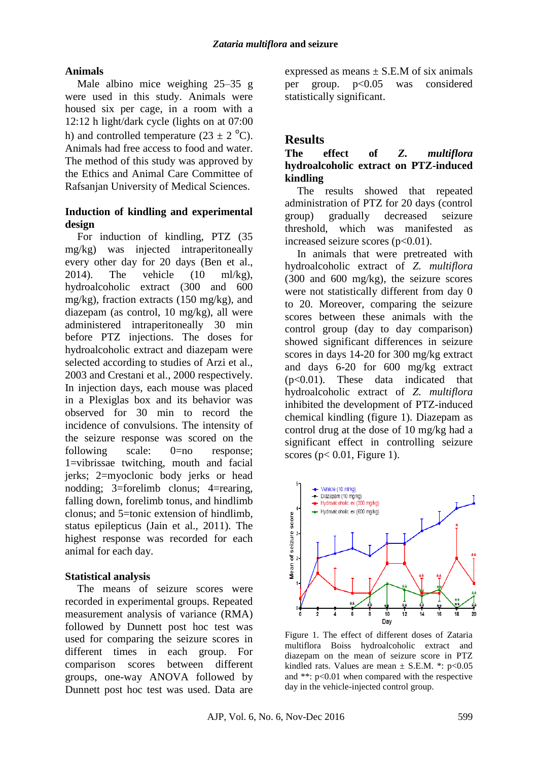## **Animals**

Male albino mice weighing 25–35 g were used in this study. Animals were housed six per cage, in a room with a 12:12 h light/dark cycle (lights on at 07:00 h) and controlled temperature (23  $\pm$  2 <sup>o</sup>C). Animals had free access to food and water. The method of this study was approved by the Ethics and Animal Care Committee of Rafsanjan University of Medical Sciences.

### **Induction of kindling and experimental design**

For induction of kindling, PTZ (35 mg/kg) was injected intraperitoneally every other day for 20 days (Ben et al., 2014). The vehicle  $(10 \text{ ml/kg})$ . hydroalcoholic extract (300 and 600 mg/kg), fraction extracts (150 mg/kg), and diazepam (as control, 10 mg/kg), all were administered intraperitoneally 30 min before PTZ injections. The doses for hydroalcoholic extract and diazepam were selected according to studies of Arzi et al., 2003 and Crestani et al., 2000 respectively. In injection days, each mouse was placed in a Plexiglas box and its behavior was observed for 30 min to record the incidence of convulsions. The intensity of the seizure response was scored on the following scale: 0=no response; 1=vibrissae twitching, mouth and facial jerks; 2=myoclonic body jerks or head nodding; 3=forelimb clonus; 4=rearing, falling down, forelimb tonus, and hindlimb clonus; and 5=tonic extension of hindlimb, status epilepticus (Jain et al., 2011). The highest response was recorded for each animal for each day.

## **Statistical analysis**

The means of seizure scores were recorded in experimental groups. Repeated measurement analysis of variance (RMA) followed by Dunnett post hoc test was used for comparing the seizure scores in different times in each group. For comparison scores between different groups, one-way ANOVA followed by Dunnett post hoc test was used. Data are expressed as means  $\pm$  S.E.M of six animals per group. p<0.05 was considered statistically significant.

# **Results**

## **The effect of** *Z. multiflora* **hydroalcoholic extract on PTZ-induced kindling**

The results showed that repeated administration of PTZ for 20 days (control group) gradually decreased seizure threshold, which was manifested as increased seizure scores  $(p<0.01)$ .

In animals that were pretreated with hydroalcoholic extract of *Z. multiflora* (300 and 600 mg/kg), the seizure scores were not statistically different from day 0 to 20. Moreover, comparing the seizure scores between these animals with the control group (day to day comparison) showed significant differences in seizure scores in days 14-20 for 300 mg/kg extract and days 6-20 for 600 mg/kg extract (p<0.01). These data indicated that hydroalcoholic extract of *Z. multiflora* inhibited the development of PTZ-induced chemical kindling (figure 1). Diazepam as control drug at the dose of 10 mg/kg had a significant effect in controlling seizure scores ( $p < 0.01$ , Figure 1).



Figure 1. The effect of different doses of Zataria multiflora Boiss hydroalcoholic extract and diazepam on the mean of seizure score in PTZ kindled rats. Values are mean  $\pm$  S.E.M. \*: p<0.05 and \*\*: p<0.01 when compared with the respective day in the vehicle-injected control group.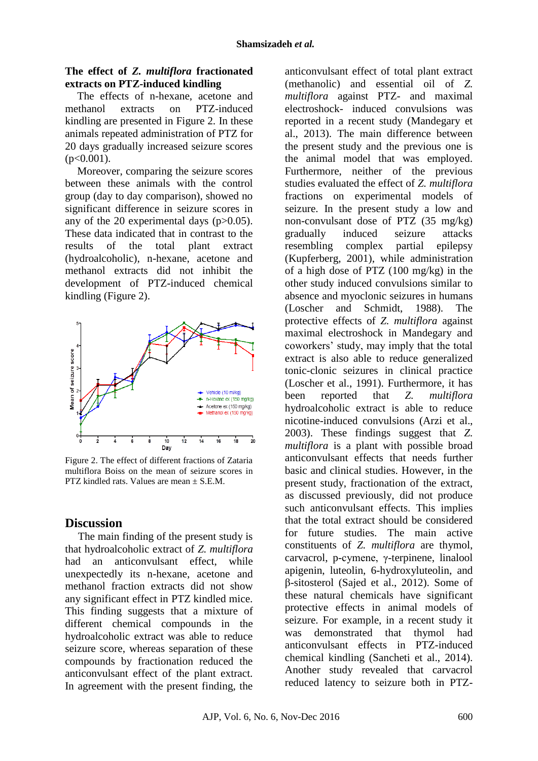### **The effect of** *Z. multiflora* **fractionated extracts on PTZ-induced kindling**

The effects of n-hexane, acetone and methanol extracts on PTZ-induced kindling are presented in Figure 2. In these animals repeated administration of PTZ for 20 days gradually increased seizure scores  $(n<0.001)$ .

Moreover, comparing the seizure scores between these animals with the control group (day to day comparison), showed no significant difference in seizure scores in any of the 20 experimental days  $(p>0.05)$ . These data indicated that in contrast to the results of the total plant extract (hydroalcoholic), n-hexane, acetone and methanol extracts did not inhibit the development of PTZ-induced chemical kindling (Figure 2).



Figure 2. The effect of different fractions of Zataria multiflora Boiss on the mean of seizure scores in PTZ kindled rats. Values are mean ± S.E.M.

# **Discussion**

The main finding of the present study is that hydroalcoholic extract of *Z. multiflora* had an anticonvulsant effect, while unexpectedly its n-hexane, acetone and methanol fraction extracts did not show any significant effect in PTZ kindled mice. This finding suggests that a mixture of different chemical compounds in the hydroalcoholic extract was able to reduce seizure score, whereas separation of these compounds by fractionation reduced the anticonvulsant effect of the plant extract. In agreement with the present finding, the

anticonvulsant effect of total plant extract (methanolic) and essential oil of *Z. multiflora* against PTZ- and maximal electroshock- induced convulsions was reported in a recent study (Mandegary et al., 2013). The main difference between the present study and the previous one is the animal model that was employed. Furthermore, neither of the previous studies evaluated the effect of *Z. multiflora* fractions on experimental models of seizure. In the present study a low and non-convulsant dose of PTZ (35 mg/kg) gradually induced seizure attacks resembling complex partial epilepsy (Kupferberg, 2001), while administration of a high dose of PTZ (100 mg/kg) in the other study induced convulsions similar to absence and myoclonic seizures in humans (Loscher and Schmidt, 1988). The protective effects of *Z. multiflora* against maximal electroshock in Mandegary and coworkers' study, may imply that the total extract is also able to reduce generalized tonic-clonic seizures in clinical practice (Loscher et al., 1991). Furthermore, it has been reported that *Z. multiflora* hydroalcoholic extract is able to reduce nicotine-induced convulsions (Arzi et al., 2003). These findings suggest that *Z. multiflora* is a plant with possible broad anticonvulsant effects that needs further basic and clinical studies. However, in the present study, fractionation of the extract, as discussed previously, did not produce such anticonvulsant effects. This implies that the total extract should be considered for future studies. The main active constituents of *Z. multiflora* are thymol, carvacrol, p-cymene, γ-terpinene, linalool apigenin, luteolin, 6-hydroxyluteolin, and β-sitosterol (Sajed et al., 2012). Some of these natural chemicals have significant protective effects in animal models of seizure. For example, in a recent study it was demonstrated that thymol had anticonvulsant effects in PTZ-induced chemical kindling (Sancheti et al., 2014). Another study revealed that carvacrol reduced latency to seizure both in PTZ-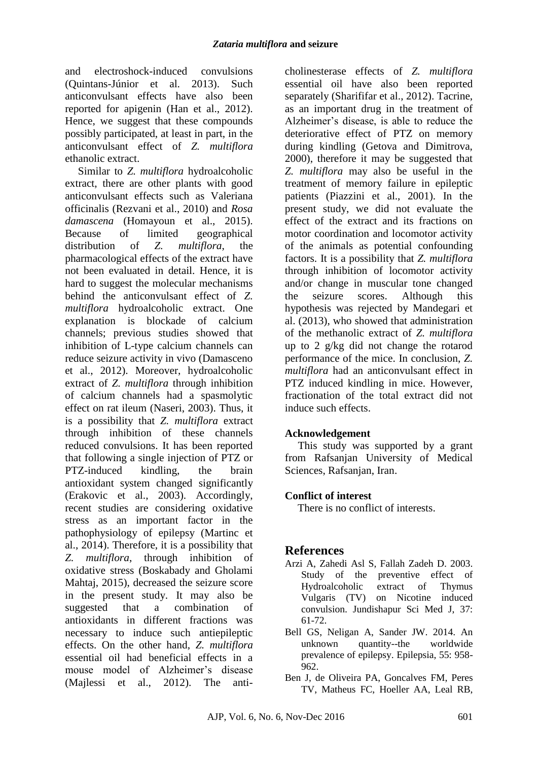and electroshock-induced convulsions (Quintans-Júnior et al. 2013). Such anticonvulsant effects have also been reported for apigenin (Han et al., 2012). Hence, we suggest that these compounds possibly participated, at least in part, in the anticonvulsant effect of *Z. multiflora* ethanolic extract.

Similar to *Z. multiflora* hydroalcoholic extract, there are other plants with good anticonvulsant effects such as Valeriana officinalis (Rezvani et al., 2010) and *Rosa damascena* (Homayoun et al., 2015). Because of limited geographical distribution of *Z. multiflora*, the pharmacological effects of the extract have not been evaluated in detail. Hence, it is hard to suggest the molecular mechanisms behind the anticonvulsant effect of *Z. multiflora* hydroalcoholic extract. One explanation is blockade of calcium channels; previous studies showed that inhibition of L-type calcium channels can reduce seizure activity in vivo (Damasceno et al., 2012). Moreover, hydroalcoholic extract of *Z. multiflora* through inhibition of calcium channels had a spasmolytic effect on rat ileum (Naseri, 2003). Thus, it is a possibility that *Z. multiflora* extract through inhibition of these channels reduced convulsions. It has been reported that following a single injection of PTZ or PTZ-induced kindling, the brain antioxidant system changed significantly (Erakovic et al., 2003). Accordingly, recent studies are considering oxidative stress as an important factor in the pathophysiology of epilepsy (Martinc et al., 2014). Therefore, it is a possibility that *Z. multiflora*, through inhibition of oxidative stress (Boskabady and Gholami Mahtaj, 2015), decreased the seizure score in the present study. It may also be suggested that a combination of antioxidants in different fractions was necessary to induce such antiepileptic effects. On the other hand, *Z. multiflora* essential oil had beneficial effects in a mouse model of Alzheimer's disease (Majlessi et al., 2012). The anti-

cholinesterase effects of *Z. multiflora* essential oil have also been reported separately (Sharififar et al., 2012). Tacrine, as an important drug in the treatment of Alzheimer's disease, is able to reduce the deteriorative effect of PTZ on memory during kindling (Getova and Dimitrova, 2000), therefore it may be suggested that *Z. multiflora* may also be useful in the treatment of memory failure in epileptic patients (Piazzini et al., 2001). In the present study, we did not evaluate the effect of the extract and its fractions on motor coordination and locomotor activity of the animals as potential confounding factors. It is a possibility that *Z. multiflora* through inhibition of locomotor activity and/or change in muscular tone changed the seizure scores. Although this hypothesis was rejected by Mandegari et al. (2013), who showed that administration of the methanolic extract of *Z. multiflora* up to 2 g/kg did not change the rotarod performance of the mice. In conclusion, *Z. multiflora* had an anticonvulsant effect in PTZ induced kindling in mice. However, fractionation of the total extract did not induce such effects.

## **Acknowledgement**

This study was supported by a grant from Rafsanjan University of Medical Sciences, Rafsanjan, Iran.

## **Conflict of interest**

There is no conflict of interests.

# **References**

- Arzi A, Zahedi Asl S, Fallah Zadeh D. 2003. Study of the preventive effect of Hydroalcoholic extract of Thymus Vulgaris (TV) on Nicotine induced convulsion. Jundishapur Sci Med J, 37: 61-72.
- Bell GS, Neligan A, Sander JW. 2014. An unknown quantity--the worldwide prevalence of epilepsy. Epilepsia, 55: 958- 962.
- Ben J, de Oliveira PA, Goncalves FM, Peres TV, Matheus FC, Hoeller AA, Leal RB,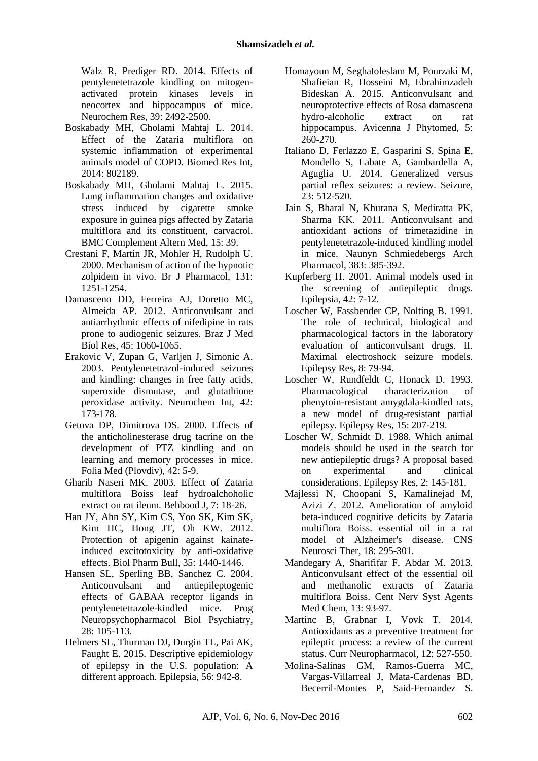Walz R, Prediger RD. 2014. Effects of pentylenetetrazole kindling on mitogenactivated protein kinases levels in neocortex and hippocampus of mice. Neurochem Res, 39: 2492-2500.

- Boskabady MH, Gholami Mahtaj L. 2014. Effect of the Zataria multiflora on systemic inflammation of experimental animals model of COPD. Biomed Res Int, 2014: 802189.
- Boskabady MH, Gholami Mahtaj L. 2015. Lung inflammation changes and oxidative stress induced by cigarette smoke exposure in guinea pigs affected by Zataria multiflora and its constituent, carvacrol. BMC Complement Altern Med, 15: 39.
- Crestani F, Martin JR, Mohler H, Rudolph U. 2000. Mechanism of action of the hypnotic zolpidem in vivo. Br J Pharmacol, 131: 1251-1254.
- Damasceno DD, Ferreira AJ, Doretto MC, Almeida AP. 2012. Anticonvulsant and antiarrhythmic effects of nifedipine in rats prone to audiogenic seizures. Braz J Med Biol Res, 45: 1060-1065.
- Erakovic V, Zupan G, Varljen J, Simonic A. 2003. Pentylenetetrazol-induced seizures and kindling: changes in free fatty acids, superoxide dismutase, and glutathione peroxidase activity. Neurochem Int, 42: 173-178.
- Getova DP, Dimitrova DS. 2000. Effects of the anticholinesterase drug tacrine on the development of PTZ kindling and on learning and memory processes in mice. Folia Med (Plovdiv), 42: 5-9.
- Gharib Naseri MK. 2003. Effect of Zataria multiflora Boiss leaf hydroalchoholic extract on rat ileum. Behbood J, 7: 18-26.
- Han JY, Ahn SY, Kim CS, Yoo SK, Kim SK, Kim HC, Hong JT, Oh KW. 2012. Protection of apigenin against kainateinduced excitotoxicity by anti-oxidative effects. Biol Pharm Bull, 35: 1440-1446.
- Hansen SL, Sperling BB, Sanchez C. 2004. Anticonvulsant and antiepileptogenic effects of GABAA receptor ligands in pentylenetetrazole-kindled mice. Prog Neuropsychopharmacol Biol Psychiatry, 28: 105-113.
- Helmers SL, Thurman DJ, Durgin TL, Pai AK, Faught E. 2015. Descriptive epidemiology of epilepsy in the U.S. population: A different approach. Epilepsia, 56: 942-8.
- Homayoun M, Seghatoleslam M, Pourzaki M, Shafieian R, Hosseini M, Ebrahimzadeh Bideskan A. 2015. Anticonvulsant and neuroprotective effects of Rosa damascena hydro-alcoholic extract on rat hippocampus. Avicenna J Phytomed, 5: 260-270.
- Italiano D, Ferlazzo E, Gasparini S, Spina E, Mondello S, Labate A, Gambardella A, Aguglia U. 2014. Generalized versus partial reflex seizures: a review. Seizure, 23: 512-520.
- Jain S, Bharal N, Khurana S, Mediratta PK, Sharma KK. 2011. Anticonvulsant and antioxidant actions of trimetazidine in pentylenetetrazole-induced kindling model in mice. Naunyn Schmiedebergs Arch Pharmacol, 383: 385-392.
- Kupferberg H. 2001. Animal models used in the screening of antiepileptic drugs. Epilepsia, 42: 7-12.
- Loscher W, Fassbender CP, Nolting B. 1991. The role of technical, biological and pharmacological factors in the laboratory evaluation of anticonvulsant drugs. II. Maximal electroshock seizure models. Epilepsy Res, 8: 79-94.
- Loscher W, Rundfeldt C, Honack D. 1993. Pharmacological characterization of phenytoin-resistant amygdala-kindled rats, a new model of drug-resistant partial epilepsy. Epilepsy Res, 15: 207-219.
- Loscher W, Schmidt D. 1988. Which animal models should be used in the search for new antiepileptic drugs? A proposal based on experimental and clinical considerations. Epilepsy Res, 2: 145-181.
- Majlessi N, Choopani S, Kamalinejad M, Azizi Z. 2012. Amelioration of amyloid beta-induced cognitive deficits by Zataria multiflora Boiss. essential oil in a rat model of Alzheimer's disease. CNS Neurosci Ther, 18: 295-301.
- Mandegary A, Sharififar F, Abdar M. 2013. Anticonvulsant effect of the essential oil and methanolic extracts of Zataria multiflora Boiss. Cent Nerv Syst Agents Med Chem, 13: 93-97.
- Martinc B, Grabnar I, Vovk T. 2014. Antioxidants as a preventive treatment for epileptic process: a review of the current status. Curr Neuropharmacol, 12: 527-550.
- Molina-Salinas GM, Ramos-Guerra MC, Vargas-Villarreal J, Mata-Cardenas BD, Becerril-Montes P, Said-Fernandez S.